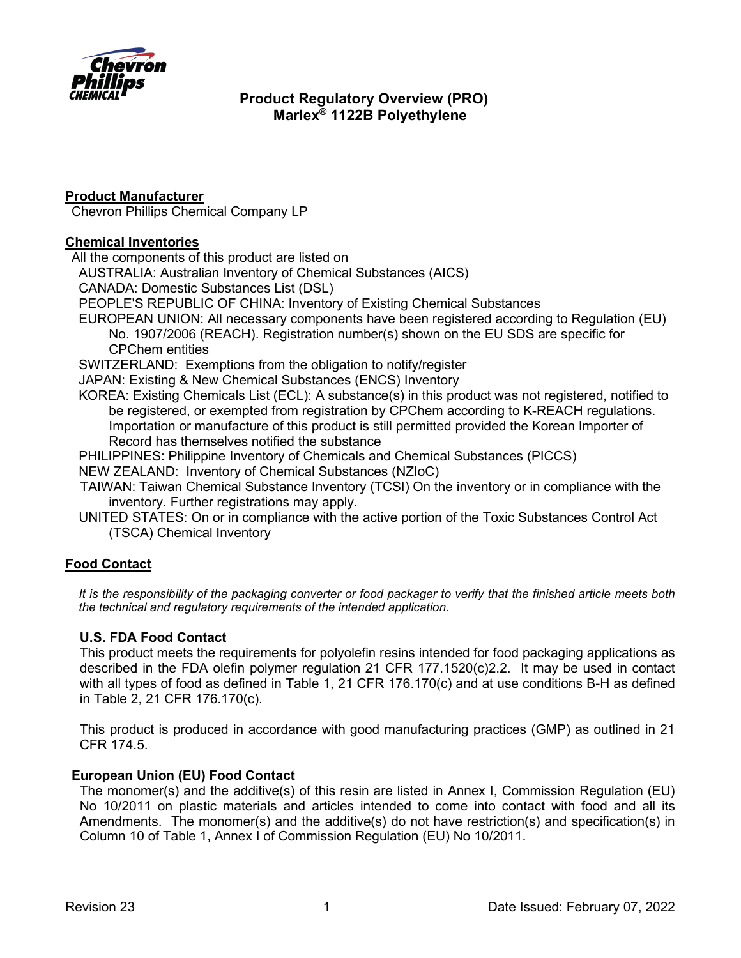

## **Product Manufacturer**

Chevron Phillips Chemical Company LP

### **Chemical Inventories**

All the components of this product are listed on

AUSTRALIA: Australian Inventory of Chemical Substances (AICS)

CANADA: Domestic Substances List (DSL)

PEOPLE'S REPUBLIC OF CHINA: Inventory of Existing Chemical Substances

EUROPEAN UNION: All necessary components have been registered according to Regulation (EU) No. 1907/2006 (REACH). Registration number(s) shown on the EU SDS are specific for CPChem entities

SWITZERLAND: Exemptions from the obligation to notify/register

JAPAN: Existing & New Chemical Substances (ENCS) Inventory

KOREA: Existing Chemicals List (ECL): A substance(s) in this product was not registered, notified to be registered, or exempted from registration by CPChem according to K-REACH regulations. Importation or manufacture of this product is still permitted provided the Korean Importer of Record has themselves notified the substance

PHILIPPINES: Philippine Inventory of Chemicals and Chemical Substances (PICCS)

NEW ZEALAND: Inventory of Chemical Substances (NZIoC)

- TAIWAN: Taiwan Chemical Substance Inventory (TCSI) On the inventory or in compliance with the inventory. Further registrations may apply.
- UNITED STATES: On or in compliance with the active portion of the Toxic Substances Control Act (TSCA) Chemical Inventory

## **Food Contact**

*It is the responsibility of the packaging converter or food packager to verify that the finished article meets both the technical and regulatory requirements of the intended application.*

## **U.S. FDA Food Contact**

This product meets the requirements for polyolefin resins intended for food packaging applications as described in the FDA olefin polymer regulation 21 CFR 177.1520(c)2.2. It may be used in contact with all types of food as defined in Table 1, 21 CFR 176.170(c) and at use conditions B-H as defined in Table 2, 21 CFR 176.170(c).

This product is produced in accordance with good manufacturing practices (GMP) as outlined in 21 CFR 174.5.

## **European Union (EU) Food Contact**

The monomer(s) and the additive(s) of this resin are listed in Annex I, Commission Regulation (EU) No 10/2011 on plastic materials and articles intended to come into contact with food and all its Amendments. The monomer(s) and the additive(s) do not have restriction(s) and specification(s) in Column 10 of Table 1, Annex I of Commission Regulation (EU) No 10/2011.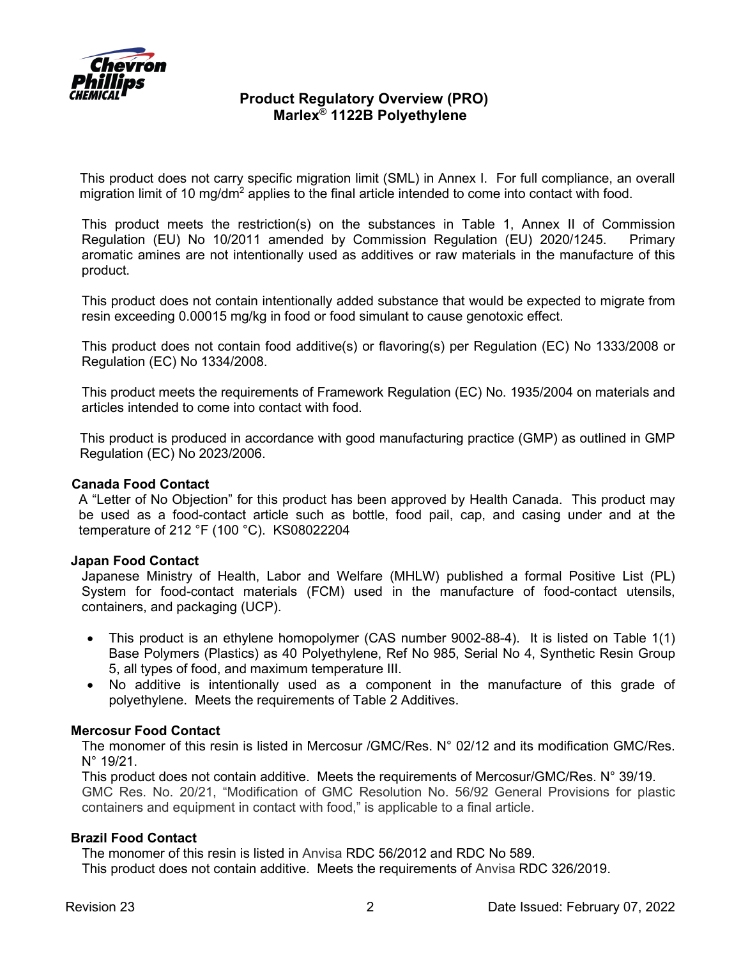

This product does not carry specific migration limit (SML) in Annex I. For full compliance, an overall migration limit of 10 mg/dm<sup>2</sup> applies to the final article intended to come into contact with food.

This product meets the restriction(s) on the substances in Table 1, Annex II of Commission Regulation (EU) No 10/2011 amended by Commission Regulation (EU) 2020/1245. Primary aromatic amines are not intentionally used as additives or raw materials in the manufacture of this product.

This product does not contain intentionally added substance that would be expected to migrate from resin exceeding 0.00015 mg/kg in food or food simulant to cause genotoxic effect.

This product does not contain food additive(s) or flavoring(s) per Regulation (EC) No 1333/2008 or Regulation (EC) No 1334/2008.

This product meets the requirements of Framework Regulation (EC) No. 1935/2004 on materials and articles intended to come into contact with food.

This product is produced in accordance with good manufacturing practice (GMP) as outlined in GMP Regulation (EC) No 2023/2006.

#### **Canada Food Contact**

A "Letter of No Objection" for this product has been approved by Health Canada. This product may be used as a food-contact article such as bottle, food pail, cap, and casing under and at the temperature of 212 °F (100 °C). KS08022204

#### **Japan Food Contact**

Japanese Ministry of Health, Labor and Welfare (MHLW) published a formal Positive List (PL) System for food-contact materials (FCM) used in the manufacture of food-contact utensils, containers, and packaging (UCP).

- This product is an ethylene homopolymer (CAS number 9002-88-4). It is listed on Table 1(1) Base Polymers (Plastics) as 40 Polyethylene, Ref No 985, Serial No 4, Synthetic Resin Group 5, all types of food, and maximum temperature III.
- No additive is intentionally used as a component in the manufacture of this grade of polyethylene. Meets the requirements of Table 2 Additives.

#### **Mercosur Food Contact**

The monomer of this resin is listed in Mercosur /GMC/Res. N° 02/12 and its modification GMC/Res. N° 19/21.

This product does not contain additive. Meets the requirements of Mercosur/GMC/Res. N° 39/19. GMC Res. No. 20/21, "Modification of GMC Resolution No. 56/92 General Provisions for plastic containers and equipment in contact with food," is applicable to a final article.

### **Brazil Food Contact**

The monomer of this resin is listed in Anvisa [RDC 56/2012 and RDC No](https://www.khlaw.com/Files/41980_RDC%20326-19%20-%20Lista%20positiva%20de%20aditivos%20destinados%20aa%20elaboracao%20de%20materiais%20plasticos%20e%20revestimentos%20polimericos%20em%20contato%20com%20alimentos.pdf) 589. This product does not contain additive. Meets the requirements of Anvisa [RDC 326/2019.](https://www.khlaw.com/Files/41980_RDC%20326-19%20-%20Lista%20positiva%20de%20aditivos%20destinados%20aa%20elaboracao%20de%20materiais%20plasticos%20e%20revestimentos%20polimericos%20em%20contato%20com%20alimentos.pdf)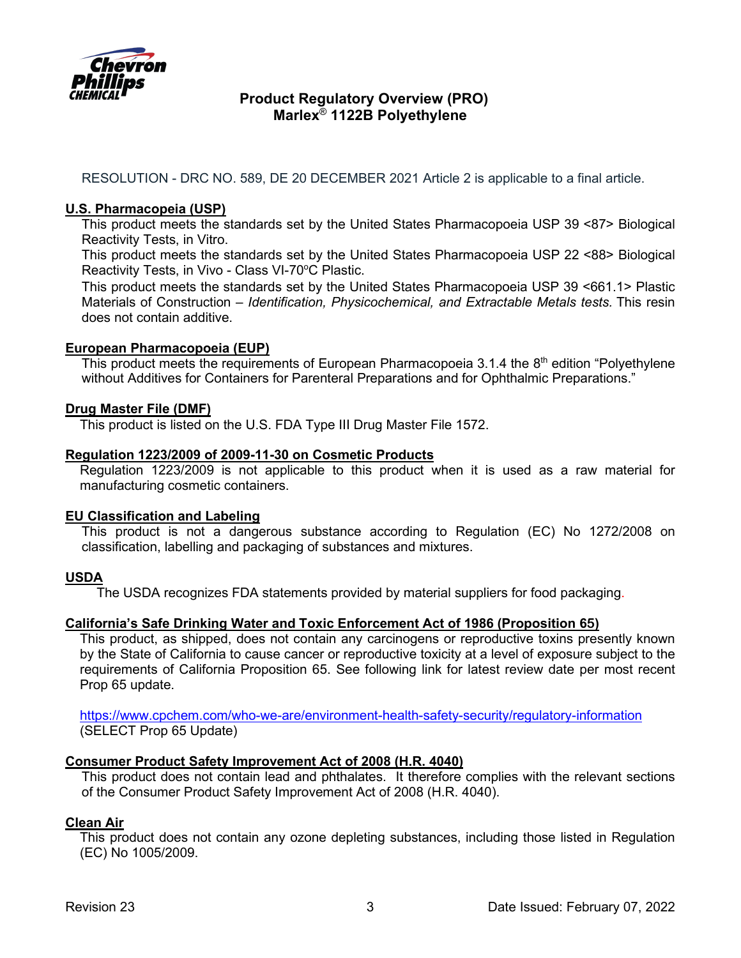

RESOLUTION - DRC NO. 589, DE 20 DECEMBER 2021 Article 2 is applicable to a final article.

### **U.S. Pharmacopeia (USP)**

This product meets the standards set by the United States Pharmacopoeia USP 39 <87> Biological Reactivity Tests, in Vitro.

This product meets the standards set by the United States Pharmacopoeia USP 22 <88> Biological Reactivity Tests, in Vivo - Class VI-70°C Plastic.

This product meets the standards set by the United States Pharmacopoeia USP 39 <661.1> Plastic Materials of Construction – *Identification, Physicochemical, and Extractable Metals tests.* This resin does not contain additive.

#### **European Pharmacopoeia (EUP)**

This product meets the requirements of European Pharmacopoeia 3.1.4 the  $8<sup>th</sup>$  edition "Polyethylene without Additives for Containers for Parenteral Preparations and for Ophthalmic Preparations."

### **Drug Master File (DMF)**

This product is listed on the U.S. FDA Type III Drug Master File 1572.

#### **Regulation 1223/2009 of 2009-11-30 on Cosmetic Products**

Regulation 1223/2009 is not applicable to this product when it is used as a raw material for manufacturing cosmetic containers.

#### **EU Classification and Labeling**

This product is not a dangerous substance according to Regulation (EC) No 1272/2008 on classification, labelling and packaging of substances and mixtures.

## **USDA**

The USDA recognizes FDA statements provided by material suppliers for food packaging.

#### **California's [Safe Drinking Water and Toxic Enforcement Act of 1986](http://www.oehha.ca.gov/prop65/law/P65law72003.html) (Proposition 65)**

This product, as shipped, does not contain any carcinogens or reproductive toxins presently known by the State of California to cause cancer or reproductive toxicity at a level of exposure subject to the requirements of California Proposition 65. See following link for latest review date per most recent Prop 65 update.

<https://www.cpchem.com/who-we-are/environment-health-safety-security/regulatory-information> (SELECT Prop 65 Update)

## **Consumer Product Safety Improvement Act of 2008 (H.R. 4040)**

This product does not contain lead and phthalates. It therefore complies with the relevant sections of the Consumer Product Safety Improvement Act of 2008 (H.R. 4040).

#### **Clean Air**

This product does not contain any ozone depleting substances, including those listed in Regulation (EC) No 1005/2009.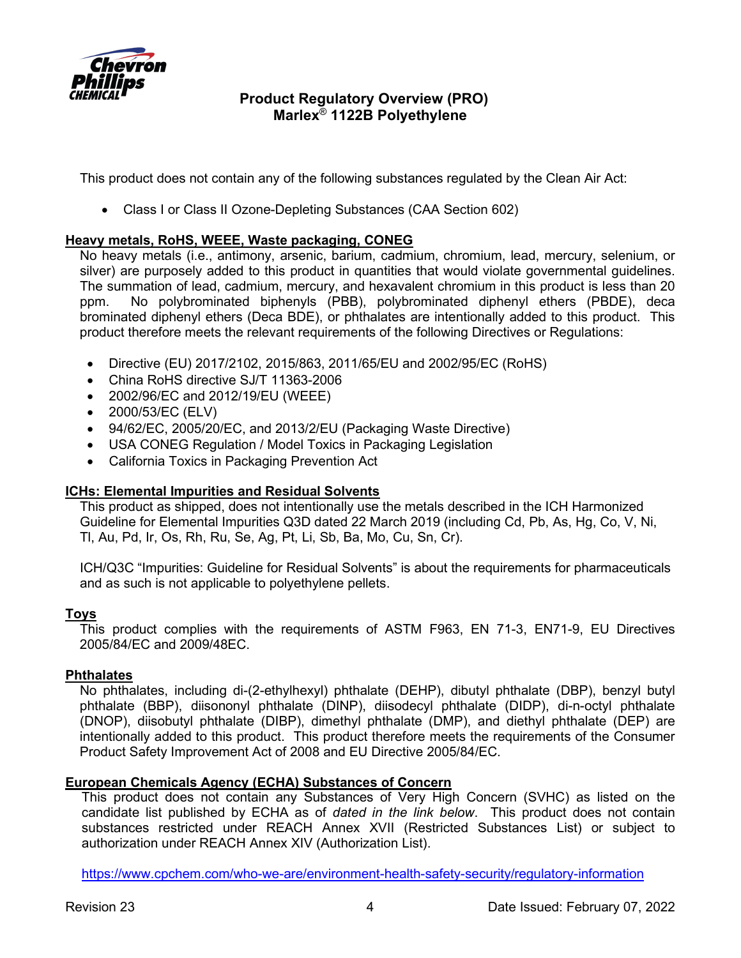

This product does not contain any of the following substances regulated by the Clean Air Act:

• Class I or Class II Ozone-Depleting Substances (CAA Section 602)

## **Heavy metals, RoHS, WEEE, Waste packaging, CONEG**

No heavy metals (i.e., antimony, arsenic, barium, cadmium, chromium, lead, mercury, selenium, or silver) are purposely added to this product in quantities that would violate governmental guidelines. The summation of lead, cadmium, mercury, and hexavalent chromium in this product is less than 20 ppm. No polybrominated biphenyls (PBB), polybrominated diphenyl ethers (PBDE), deca brominated diphenyl ethers (Deca BDE), or phthalates are intentionally added to this product. This product therefore meets the relevant requirements of the following Directives or Regulations:

- Directive (EU) 2017/2102, 2015/863, 2011/65/EU and 2002/95/EC (RoHS)
- China RoHS directive SJ/T 11363-2006
- 2002/96/EC and 2012/19/EU (WEEE)
- 2000/53/EC (ELV)
- 94/62/EC, 2005/20/EC, and 2013/2/EU (Packaging Waste Directive)
- USA CONEG Regulation / Model Toxics in Packaging Legislation
- California Toxics in Packaging Prevention Act

## **ICHs: Elemental Impurities and Residual Solvents**

This product as shipped, does not intentionally use the metals described in the ICH Harmonized Guideline for Elemental Impurities Q3D dated 22 March 2019 (including Cd, Pb, As, Hg, Co, V, Ni, Tl, Au, Pd, Ir, Os, Rh, Ru, Se, Ag, Pt, Li, Sb, Ba, Mo, Cu, Sn, Cr).

ICH/Q3C "Impurities: Guideline for Residual Solvents" is about the requirements for pharmaceuticals and as such is not applicable to polyethylene pellets.

#### **Toys**

This product complies with the requirements of ASTM F963, EN 71-3, EN71-9, EU Directives 2005/84/EC and 2009/48EC.

### **Phthalates**

No phthalates, including di-(2-ethylhexyl) phthalate (DEHP), dibutyl phthalate (DBP), benzyl butyl phthalate (BBP), diisononyl phthalate (DINP), diisodecyl phthalate (DIDP), di-n-octyl phthalate (DNOP), diisobutyl phthalate (DIBP), dimethyl phthalate (DMP), and diethyl phthalate (DEP) are intentionally added to this product. This product therefore meets the requirements of the Consumer Product Safety Improvement Act of 2008 and EU Directive 2005/84/EC.

## **European Chemicals Agency (ECHA) Substances of Concern**

This product does not contain any Substances of Very High Concern (SVHC) as listed on the candidate list published by ECHA as of *dated in the link below*. This product does not contain substances restricted under REACH Annex XVII (Restricted Substances List) or subject to authorization under REACH Annex XIV (Authorization List).

<https://www.cpchem.com/who-we-are/environment-health-safety-security/regulatory-information>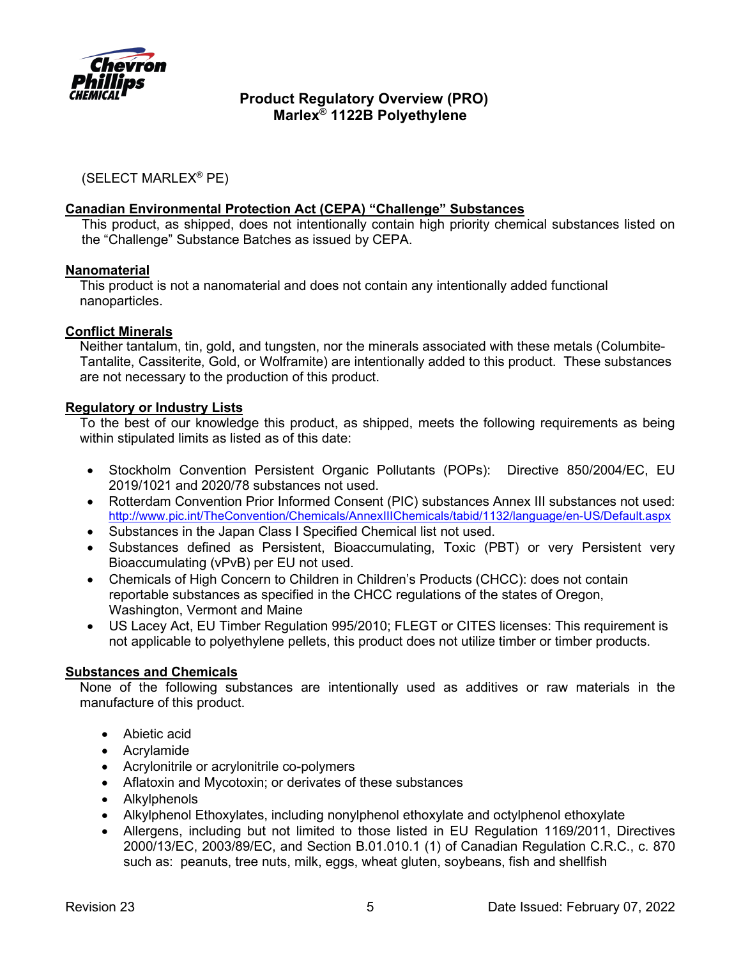

(SELECT MARLEX® PE)

### **Canadian Environmental Protection Act (CEPA) "Challenge" Substances**

This product, as shipped, does not intentionally contain high priority chemical substances listed on the "Challenge" Substance Batches as issued by CEPA.

#### **Nanomaterial**

This product is not a nanomaterial and does not contain any intentionally added functional nanoparticles.

### **Conflict Minerals**

Neither tantalum, tin, gold, and tungsten, nor the minerals associated with these metals (Columbite-Tantalite, Cassiterite, Gold, or Wolframite) are intentionally added to this product. These substances are not necessary to the production of this product.

### **Regulatory or Industry Lists**

To the best of our knowledge this product, as shipped, meets the following requirements as being within stipulated limits as listed as of this date:

- Stockholm Convention Persistent Organic Pollutants (POPs): Directive 850/2004/EC, EU 2019/1021 and 2020/78 substances not used.
- Rotterdam Convention Prior Informed Consent (PIC) substances Annex III substances not used: <http://www.pic.int/TheConvention/Chemicals/AnnexIIIChemicals/tabid/1132/language/en-US/Default.aspx>
- Substances in the Japan Class I Specified Chemical list not used.
- Substances defined as Persistent, Bioaccumulating, Toxic (PBT) or very Persistent very Bioaccumulating (vPvB) per EU not used.
- Chemicals of High Concern to Children in Children's Products (CHCC): does not contain reportable substances as specified in the CHCC regulations of the states of Oregon, Washington, Vermont and Maine
- US Lacey Act, EU Timber Regulation 995/2010; [FLEGT](https://ec.europa.eu/environment/forests/flegt.htm) or [CITES](https://ec.europa.eu/environment/cites/index_en.htm) licenses: This requirement is not applicable to polyethylene pellets, this product does not utilize timber or timber products.

#### **Substances and Chemicals**

None of the following substances are intentionally used as additives or raw materials in the manufacture of this product.

- Abietic acid
- Acrylamide
- Acrylonitrile or acrylonitrile co-polymers
- Aflatoxin and Mycotoxin; or derivates of these substances
- Alkylphenols
- Alkylphenol Ethoxylates, including nonylphenol ethoxylate and octylphenol ethoxylate
- Allergens, including but not limited to those listed in EU Regulation 1169/2011, Directives 2000/13/EC, 2003/89/EC, and Section B.01.010.1 (1) of Canadian Regulation C.R.C., c. 870 such as: peanuts, tree nuts, milk, eggs, wheat gluten, soybeans, fish and shellfish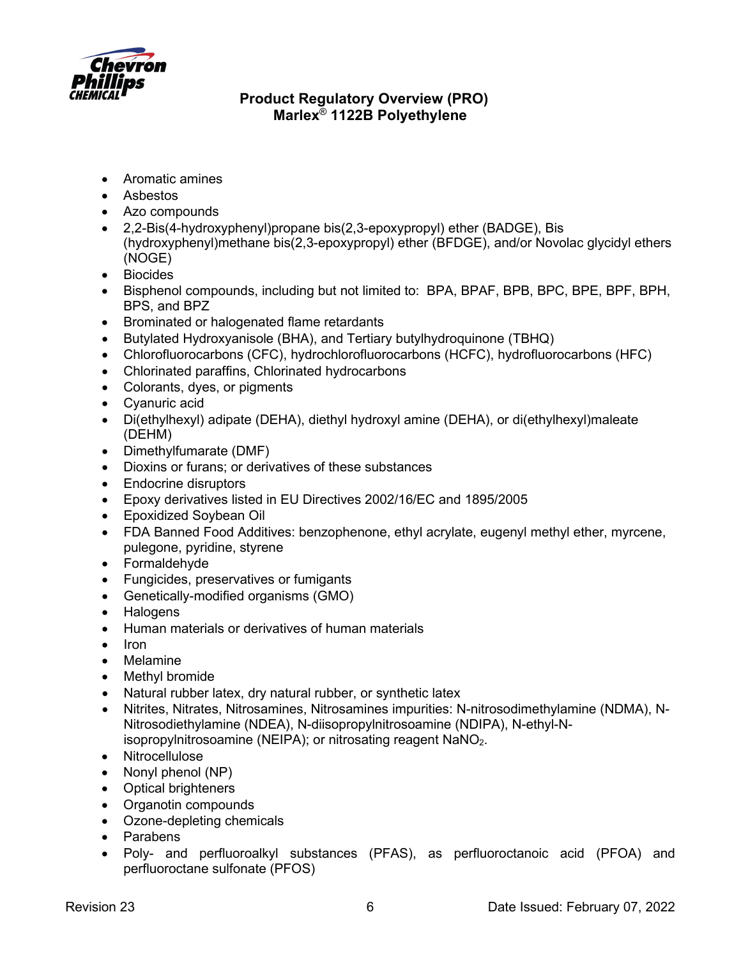

- Aromatic amines
- Asbestos
- Azo compounds
- 2,2-Bis(4-hydroxyphenyl)propane bis(2,3-epoxypropyl) ether (BADGE), Bis (hydroxyphenyl)methane bis(2,3-epoxypropyl) ether (BFDGE), and/or Novolac glycidyl ethers (NOGE)
- Biocides
- Bisphenol compounds, including but not limited to: BPA, BPAF, BPB, BPC, BPE, BPF, BPH, BPS, and BPZ
- Brominated or halogenated flame retardants
- Butylated Hydroxyanisole (BHA), and Tertiary butylhydroquinone (TBHQ)
- Chlorofluorocarbons (CFC), hydrochlorofluorocarbons (HCFC), hydrofluorocarbons (HFC)
- Chlorinated paraffins, Chlorinated hydrocarbons
- Colorants, dyes, or pigments
- Cyanuric acid
- Di(ethylhexyl) adipate (DEHA), diethyl hydroxyl amine (DEHA), or di(ethylhexyl)maleate (DEHM)
- Dimethylfumarate (DMF)
- Dioxins or furans; or derivatives of these substances
- Endocrine disruptors
- Epoxy derivatives listed in EU Directives 2002/16/EC and 1895/2005
- Epoxidized Soybean Oil
- FDA Banned Food Additives: benzophenone, ethyl acrylate, eugenyl methyl ether, myrcene, pulegone, pyridine, styrene
- Formaldehyde
- Fungicides, preservatives or fumigants
- Genetically-modified organisms (GMO)
- **Halogens**
- Human materials or derivatives of human materials
- Iron
- Melamine
- Methyl bromide
- Natural rubber latex, dry natural rubber, or synthetic latex
- Nitrites, Nitrates, Nitrosamines, Nitrosamines impurities: N-nitrosodimethylamine (NDMA), N-Nitrosodiethylamine (NDEA), N-diisopropylnitrosoamine (NDIPA), N-ethyl-Nisopropylnitrosoamine (NEIPA); or nitrosating reagent  $NaNO<sub>2</sub>$ .
- Nitrocellulose
- Nonyl phenol (NP)
- Optical brighteners
- Organotin compounds
- Ozone-depleting chemicals
- Parabens
- Poly- and perfluoroalkyl substances (PFAS), as perfluoroctanoic acid (PFOA) and perfluoroctane sulfonate (PFOS)